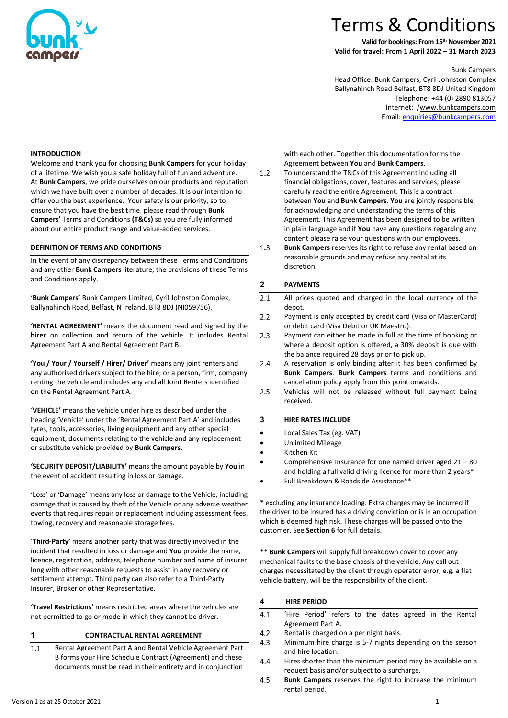

# Terms & Conditions

**Valid for bookings: From 15thNovember 2021 Valid for travel: From 1 April 2022 – 31 March 2023**

Bunk Campers

Head Office: Bunk Campers, Cyril Johnston Complex Ballynahinch Road Belfast, BT8 8DJ United Kingdom Telephone: +44 (0) 2890 813057 Intern[et:](mailto:t:) [/www.bunkcampers.com](http://www.bunkcampers.com/) Email[: enquiries@bunkcampers.com](mailto:enquiries@bunkcampers.com)

**INTRODUCTION**

Welcome and thank you for choosing **Bunk Campers** for your holiday of a lifetime. We wish you a safe holiday full of fun and adventure. At **Bunk Campers**, we pride ourselves on our products and reputation which we have built over a number of decades. It is our intention to offer you the best experience. Your safety is our priority, so to ensure that you have the best time, please read through **Bunk Campers'** Terms and Conditions **(T&Cs)** so you are fully informed about our entire product range and value-added services.

#### **DEFINITION OF TERMS AND CONDITIONS**

In the event of any discrepancy between these Terms and Conditions and any other **Bunk Campers** literature, the provisions of these Terms and Conditions apply.

'**Bunk Campers**' Bunk Campers Limited, Cyril Johnston Complex, Ballynahinch Road, Belfast, N Ireland, BT8 8DJ (NI059756).

**'RENTAL AGREEMENT'** means the document read and signed by the **hirer** on collection and return of the vehicle. It includes Rental Agreement Part A and Rental Agreement Part B.

**'You / Your / Yourself / Hirer/ Driver'** means any joint renters and any authorised drivers subject to the hire; or a person, firm, company renting the vehicle and includes any and all Joint Renters identified on the Rental Agreement Part A.

'**VEHICLE'** means the vehicle under hire as described under the heading 'Vehicle' under the 'Rental Agreement Part A' and includes tyres, tools, accessories, living equipment and any other special equipment, documents relating to the vehicle and any replacement or substitute vehicle provided by **Bunk Campers**.

**'SECURITY DEPOSIT/LIABILITY'** means the amount payable by **You** in the event of accident resulting in loss or damage.

'Loss' or 'Damage' means any loss or damage to the Vehicle, including damage that is caused by theft of the Vehicle or any adverse weather events that requires repair or replacement including assessment fees, towing, recovery and reasonable storage fees.

'**Third-Party'** means another party that was directly involved in the incident that resulted in loss or damage and **You** provide the name, licence, registration, address, telephone number and name of insurer long with other reasonable requests to assist in any recovery or settlement attempt. Third party can also refer to a Third-Party Insurer, Broker or other Representative.

**'Travel Restrictions'** means restricted areas where the vehicles are not permitted to go or mode in which they cannot be driver.

# **1 CONTRACTUAL RENTAL AGREEMENT**

 $1.1$ Rental Agreement Part A and Rental Vehicle Agreement Part B forms your Hire Schedule Contract (Agreement) and these documents must be read in their entirety and in conjunction

with each other. Together this documentation forms the Agreement between **You** and **Bunk Campers**.

- $1.2$ To understand the T&Cs of this Agreement including all financial obligations, cover, features and services, please carefully read the entire Agreement. This is a contract between **You** and **Bunk Campers**. **You** are jointly responsible for acknowledging and understanding the terms of this Agreement. This Agreement has been designed to be written in plain language and if **You** have any questions regarding any content please raise your questions with our employees.
- $1.3$ **Bunk Campers** reserves its right to refuse any rental based on reasonable grounds and may refuse any rental at its discretion.

# **2 PAYMENTS**

- $2.1$ All prices quoted and charged in the local currency of the depot.
- Payment is only accepted by credit card (Visa or MasterCard)  $2.2$ or debit card (Visa Debit or UK Maestro).
- $2.3$ Payment can either be made in full at the time of booking or where a deposit option is offered, a 30% deposit is due with the balance required 28 days prior to pick up.
- $2.4$ A reservation is only binding after it has been confirmed by **Bunk Campers**. **Bunk Campers** terms and conditions and cancellation policy apply from this point onwards.
- $2.5$ Vehicles will not be released without full payment being received.

# **3 HIRE RATES INCLUDE**

- Local Sales Tax (eg. VAT)
- Unlimited Mileage
- Kitchen Kit
- Comprehensive Insurance for one named driver aged  $21 80$ and holding a full valid driving licence for more than 2 years\*
- Full Breakdown & Roadside Assistance\*\*

\* excluding any insurance loading. Extra charges may be incurred if the driver to be insured has a driving conviction or is in an occupation which is deemed high risk. These charges will be passed onto the customer. See **Section 6** for full details.

\*\* **Bunk Campers** will supply full breakdown cover to cover any mechanical faults to the base chassis of the vehicle. Any call out charges necessitated by the client through operator error, e.g. a flat vehicle battery, will be the responsibility of the client.

# **4 HIRE PERIOD**

- $\overline{4.1}$ 'Hire Period' refers to the dates agreed in the Rental Agreement Part A.
- $4.2$ Rental is charged on a per night basis.
- $4.3$ Minimum hire charge is 5-7 nights depending on the season and hire location.
- $4.4$ Hires shorter than the minimum period may be available on a request basis and/or subject to a surcharge.
- 4.5 **Bunk Campers** reserves the right to increase the minimum rental period.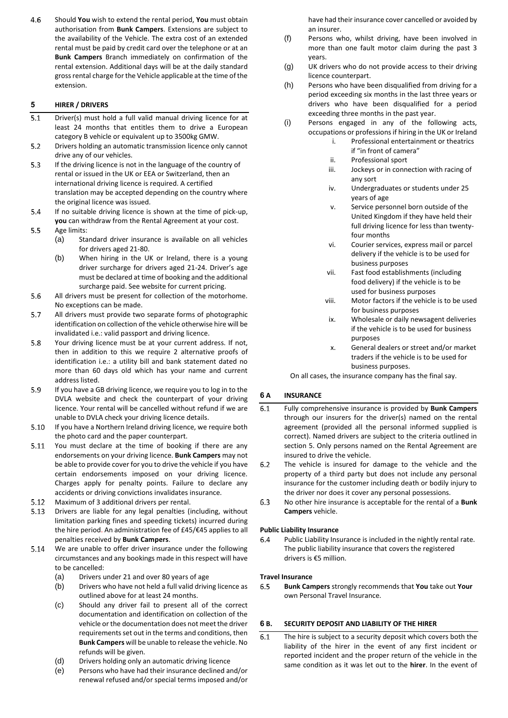4.6 Should **You** wish to extend the rental period, **You** must obtain authorisation from **Bunk Campers**. Extensions are subject to the availability of the Vehicle. The extra cost of an extended rental must be paid by credit card over the telephone or at an **Bunk Campers** Branch immediately on confirmation of the rental extension. Additional days will be at the daily standard gross rental charge for the Vehicle applicable at the time of the extension.

# **5 HIRER / DRIVERS**

- $5.1$ Driver(s) must hold a full valid manual driving licence for at least 24 months that entitles them to drive a European category B vehicle or equivalent up to 3500kg GMW.
- $5.2$ Drivers holding an automatic transmission licence only cannot drive any of our vehicles.
- $5.3$ If the driving licence is not in the language of the country of rental or issued in the UK or EEA or Switzerland, then an international driving licence is required. A certified translation may be accepted depending on the country where the original licence was issued.
- 5.4 If no suitable driving licence is shown at the time of pick-up, **you** can withdraw from the Rental Agreement at your cost.
- $5.5$ Age limits:
	- (a) Standard driver insurance is available on all vehicles for drivers aged 21-80.
	- (b) When hiring in the UK or Ireland, there is a young driver surcharge for drivers aged 21-24. Driver's age must be declared at time of booking and the additional surcharge paid. See website for current pricing.
- 5.6 All drivers must be present for collection of the motorhome. No exceptions can be made.
- $5.7$ All drivers must provide two separate forms of photographic identification on collection of the vehicle otherwise hire will be invalidated i.e.: valid passport and driving licence.
- 5.8 Your driving licence must be at your current address. If not, then in addition to this we require 2 alternative proofs of identification i.e.: a utility bill and bank statement dated no more than 60 days old which has your name and current address listed.
- 5.9 If you have a GB driving licence, we require you to log in to the DVLA website and check the counterpart of your driving licence. Your rental will be cancelled without refund if we are unable to DVLA check your driving licence details.
- 5.10 If you have a Northern Ireland driving licence, we require both the photo card and the paper counterpart.
- You must declare at the time of booking if there are any  $5.11$ endorsements on your driving licence. **Bunk Campers** may not be able to provide cover for you to drive the vehicle if you have certain endorsements imposed on your driving licence. Charges apply for penalty points. Failure to declare any accidents or driving convictions invalidates insurance.
- $5.12$ Maximum of 3 additional drivers per rental.
- 5.13 Drivers are liable for any legal penalties (including, without limitation parking fines and speeding tickets) incurred during the hire period. An administration fee of £45/€45 applies to all penalties received by **Bunk Campers**.
- 5.14 We are unable to offer driver insurance under the following circumstances and any bookings made in this respect will have to be cancelled:
	- (a) Drivers under 21 and over 80 years of age
	- (b) Drivers who have not held a full valid driving licence as outlined above for at least 24 months.
	- (c) Should any driver fail to present all of the correct documentation and identification on collection of the vehicle or the documentation does not meet the driver requirements set out in the terms and conditions, then **Bunk Campers** will be unable to release the vehicle. No refunds will be given.
	- (d) Drivers holding only an automatic driving licence
	- (e) Persons who have had their insurance declined and/or renewal refused and/or special terms imposed and/or

have had their insurance cover cancelled or avoided by an insurer.

- (f) Persons who, whilst driving, have been involved in more than one fault motor claim during the past 3 years.
- (g) UK drivers who do not provide access to their driving licence counterpart.
- (h) Persons who have been disqualified from driving for a period exceeding six months in the last three years or drivers who have been disqualified for a period exceeding three months in the past year.
- (i) Persons engaged in any of the following acts, occupations or professions if hiring in the UK or Ireland
	- i. Professional entertainment or theatrics if "in front of camera"
	- ii. Professional sport
	- iii. Jockeys or in connection with racing of any sort
	- iv. Undergraduates or students under 25 years of age
	- v. Service personnel born outside of the United Kingdom if they have held their full driving licence for less than twentyfour months
	- vi. Courier services, express mail or parcel delivery if the vehicle is to be used for business purposes
	- vii. Fast food establishments (including food delivery) if the vehicle is to be used for business purposes
	- viii. Motor factors if the vehicle is to be used for business purposes
	- ix. Wholesale or daily newsagent deliveries if the vehicle is to be used for business purposes
	- x. General dealers or street and/or market traders if the vehicle is to be used for business purposes.

On all cases, the insurance company has the final say.

# **6 A INSURANCE**

- Fully comprehensive insurance is provided by **Bunk Campers**  $6.1$ through our insurers for the driver(s) named on the rental agreement (provided all the personal informed supplied is correct). Named drivers are subject to the criteria outlined in section 5. Only persons named on the Rental Agreement are insured to drive the vehicle.
- $6.2$ The vehicle is insured for damage to the vehicle and the property of a third party but does not include any personal insurance for the customer including death or bodily injury to the driver nor does it cover any personal possessions.
- 6.3 No other hire insurance is acceptable for the rental of a **Bunk Campers** vehicle.

# **Public Liability Insurance**

6.4 Public Liability Insurance is included in the nightly rental rate. The public liability insurance that covers the registered drivers is €5 million.

# **Travel Insurance**

6.5 **Bunk Campers** strongly recommends that **You** take out **Your**  own Personal Travel Insurance.

# **6 B. SECURITY DEPOSIT AND LIABILITY OF THE HIRER**

 $6.1$ The hire is subject to a security deposit which covers both the liability of the hirer in the event of any first incident or reported incident and the proper return of the vehicle in the same condition as it was let out to the **hirer**. In the event of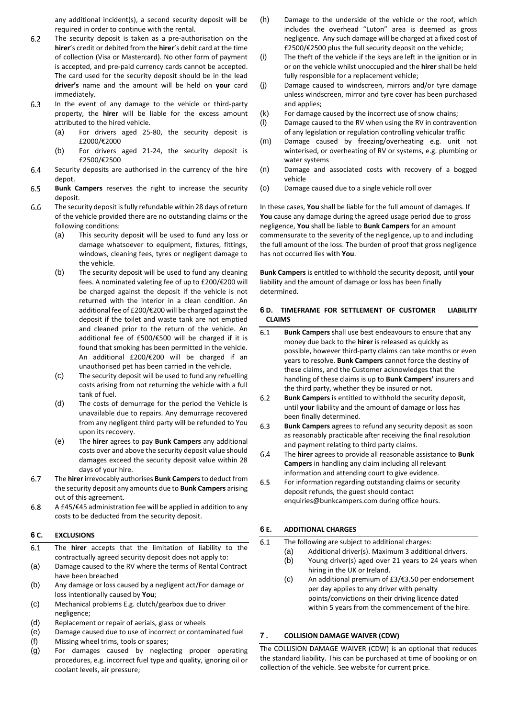any additional incident(s), a second security deposit will be required in order to continue with the rental.

- $6.2$ The security deposit is taken as a pre-authorisation on the **hirer**'s credit or debited from the **hirer**'s debit card at the time of collection (Visa or Mastercard). No other form of payment is accepted, and pre-paid currency cards cannot be accepted. The card used for the security deposit should be in the lead **driver's** name and the amount will be held on **your** card immediately.
- 6.3 In the event of any damage to the vehicle or third-party property, the **hirer** will be liable for the excess amount attributed to the hired vehicle.
	- (a) For drivers aged 25-80, the security deposit is £2000/€2000
	- (b) For drivers aged 21-24, the security deposit is £2500/€2500
- 6.4 Security deposits are authorised in the currency of the hire depot.
- 6.5 **Bunk Campers** reserves the right to increase the security deposit.
- 6.6 The security deposit is fully refundable within 28 days of return of the vehicle provided there are no outstanding claims or the following conditions:
	- (a) This security deposit will be used to fund any loss or damage whatsoever to equipment, fixtures, fittings, windows, cleaning fees, tyres or negligent damage to the vehicle.
	- (b) The security deposit will be used to fund any cleaning fees. A nominated valeting fee of up to £200/€200 will be charged against the deposit if the vehicle is not returned with the interior in a clean condition. An additional fee of £200/€200 will be charged against the deposit if the toilet and waste tank are not emptied and cleaned prior to the return of the vehicle. An additional fee of £500/€500 will be charged if it is found that smoking has been permitted in the vehicle. An additional £200/€200 will be charged if an unauthorised pet has been carried in the vehicle.
	- (c) The security deposit will be used to fund any refuelling costs arising from not returning the vehicle with a full tank of fuel.
	- (d) The costs of demurrage for the period the Vehicle is unavailable due to repairs. Any demurrage recovered from any negligent third party will be refunded to You upon its recovery.
	- (e) The **hirer** agrees to pay **Bunk Campers** any additional costs over and above the security deposit value should damages exceed the security deposit value within 28 days of your hire.
- 6.7 The **hirer** irrevocably authorises **Bunk Campers**to deduct from the security deposit any amounts due to **Bunk Campers** arising out of this agreement.
- $6.8\,$ A £45/€45 administration fee will be applied in addition to any costs to be deducted from the security deposit.

#### **6 C. EXCLUSIONS**

- $6.1$ The **hirer** accepts that the limitation of liability to the contractually agreed security deposit does not apply to:
- (a) Damage caused to the RV where the terms of Rental Contract have been breached
- (b) Any damage or loss caused by a negligent act/For damage or loss intentionally caused by **You**;
- (c) Mechanical problems E.g. clutch/gearbox due to driver negligence;
- (d) Replacement or repair of aerials, glass or wheels
- (e) Damage caused due to use of incorrect or contaminated fuel
- (f) Missing wheel trims, tools or spares;
- (g) For damages caused by neglecting proper operating procedures, e.g. incorrect fuel type and quality, ignoring oil or coolant levels, air pressure;
- (h) Damage to the underside of the vehicle or the roof, which includes the overhead "Luton" area is deemed as gross negligence. Any such damage will be charged at a fixed cost of £2500/€2500 plus the full security deposit on the vehicle;
- (i) The theft of the vehicle if the keys are left in the ignition or in or on the vehicle whilst unoccupied and the **hirer** shall be held fully responsible for a replacement vehicle;
- (j) Damage caused to windscreen, mirrors and/or tyre damage unless windscreen, mirror and tyre cover has been purchased and applies;
- (k) For damage caused by the incorrect use of snow chains;
- (l) Damage caused to the RV when using the RV in contravention of any legislation or regulation controlling vehicular traffic
- (m) Damage caused by freezing/overheating e.g. unit not winterised, or overheating of RV or systems, e.g. plumbing or water systems
- (n) Damage and associated costs with recovery of a bogged vehicle
- (o) Damage caused due to a single vehicle roll over

In these cases, **You** shall be liable for the full amount of damages. If **You** cause any damage during the agreed usage period due to gross negligence, **You** shall be liable to **Bunk Campers** for an amount commensurate to the severity of the negligence, up to and including the full amount of the loss. The burden of proof that gross negligence has not occurred lies with **You**.

**Bunk Campers** is entitled to withhold the security deposit, until **your**  liability and the amount of damage or loss has been finally determined.

# **6 D. TIMEFRAME FOR SETTLEMENT OF CUSTOMER LIABILITY CLAIMS**

- $6.1$ **Bunk Campers** shall use best endeavours to ensure that any money due back to the **hirer** is released as quickly as possible, however third-party claims can take months or even years to resolve. **Bunk Campers** cannot force the destiny of these claims, and the Customer acknowledges that the handling of these claims is up to **Bunk Campers'** insurers and the third party, whether they be insured or not.
- $6.2$ **Bunk Campers** is entitled to withhold the security deposit, until **your** liability and the amount of damage or loss has been finally determined.
- 6.3 **Bunk Campers** agrees to refund any security deposit as soon as reasonably practicable after receiving the final resolution and payment relating to third party claims.
- 6.4 The **hirer** agrees to provide all reasonable assistance to **Bunk Campers** in handling any claim including all relevant information and attending court to give evidence.
- 6.5 For information regarding outstanding claims or security deposit refunds, the guest should contact enquiries@bunkcampers.com during office hours.

# **6 E. ADDITIONAL CHARGES**

- $6.1$ The following are subject to additional charges:
	- (a) Additional driver(s). Maximum 3 additional drivers.
		- (b) Young driver(s) aged over 21 years to 24 years when hiring in the UK or Ireland.
		- (c) An additional premium of £3/€3.50 per endorsement per day applies to any driver with penalty points/convictions on their driving licence dated within 5 years from the commencement of the hire.

# **7 . COLLISION DAMAGE WAIVER (CDW)**

The COLLISION DAMAGE WAIVER (CDW) is an optional that reduces the standard liability. This can be purchased at time of booking or on collection of the vehicle. See website for current price.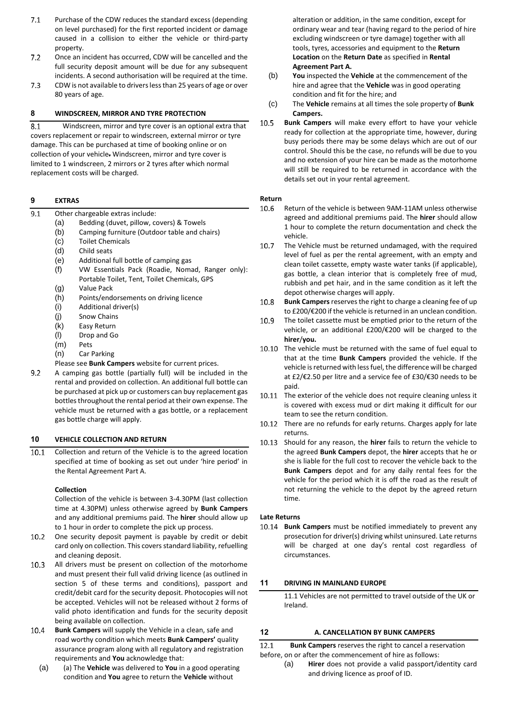- $7.1$ Purchase of the CDW reduces the standard excess (depending on level purchased) for the first reported incident or damage caused in a collision to either the vehicle or third-party property.
- $7.2$ Once an incident has occurred, CDW will be cancelled and the full security deposit amount will be due for any subsequent incidents. A second authorisation will be required at the time.
- $7.3$ CDW is not available to drivers less than 25 years of age or over 80 years of age.

# **8 WINDSCREEN, MIRROR AND TYRE PROTECTION**

 $8.1$ Windscreen, mirror and tyre cover is an optional extra that covers replacement or repair to windscreen, external mirror or tyre damage. This can be purchased at time of booking online or on collection of your vehicle. Windscreen, mirror and tyre cover is limited to 1 windscreen, 2 mirrors or 2 tyres after which normal replacement costs will be charged.

# **9 EXTRAS**

- $\overline{9.1}$ Other chargeable extras include:
	- (a) Bedding (duvet, pillow, covers) & Towels
	- (b) Camping furniture (Outdoor table and chairs)
	- (c) Toilet Chemicals
	- (d) Child seats
	- (e) Additional full bottle of camping gas
	- (f) VW Essentials Pack (Roadie, Nomad, Ranger only): Portable Toilet, Tent, Toilet Chemicals, GPS
	- (g) Value Pack
	- (h) Points/endorsements on driving licence
	- (i) Additional driver(s)
	- (j) Snow Chains
	- (k) Easy Return
	- (l) Drop and Go
	- (m) Pets
	- (n) Car Parking
	- Please see **Bunk Campers** website for current prices.
- $9.2$ A camping gas bottle (partially full) will be included in the rental and provided on collection. An additional full bottle can be purchased at pick up or customers can buy replacement gas bottles throughout the rental period at their own expense. The vehicle must be returned with a gas bottle, or a replacement gas bottle charge will apply.

# **10 VEHICLE COLLECTION AND RETURN**

 $10.1$ Collection and return of the Vehicle is to the agreed location specified at time of booking as set out under 'hire period' in the Rental Agreement Part A.

#### **Collection**

Collection of the vehicle is between 3-4.30PM (last collection time at 4.30PM) unless otherwise agreed by **Bunk Campers** and any additional premiums paid. The **hirer** should allow up to 1 hour in order to complete the pick up process.

- $10.2$ One security deposit payment is payable by credit or debit card only on collection. This covers standard liability, refuelling and cleaning deposit.
- 10.3 All drivers must be present on collection of the motorhome and must present their full valid driving licence (as outlined in section 5 of these terms and conditions), passport and credit/debit card for the security deposit. Photocopies will not be accepted. Vehicles will not be released without 2 forms of valid photo identification and funds for the security deposit being available on collection.
- **Bunk Campers** will supply the Vehicle in a clean, safe and 10.4 road worthy condition which meets **Bunk Campers'** quality assurance program along with all regulatory and registration requirements and **You** acknowledge that:
	- (a) (a) The **Vehicle** was delivered to **You** in a good operating condition and **You** agree to return the **Vehicle** without

alteration or addition, in the same condition, except for ordinary wear and tear (having regard to the period of hire excluding windscreen or tyre damage) together with all tools, tyres, accessories and equipment to the **Return Location** on the **Return Date** as specified in **Rental Agreement Part A.** 

- (b) **You** inspected the **Vehicle** at the commencement of the hire and agree that the **Vehicle** was in good operating condition and fit for the hire; and
- (c) The **Vehicle** remains at all times the sole property of **Bunk Campers.**
- 10.5 **Bunk Campers** will make every effort to have your vehicle ready for collection at the appropriate time, however, during busy periods there may be some delays which are out of our control. Should this be the case, no refunds will be due to you and no extension of your hire can be made as the motorhome will still be required to be returned in accordance with the details set out in your rental agreement.

#### **Return**

- 10.6 Return of the vehicle is between 9AM-11AM unless otherwise agreed and additional premiums paid. The **hirer** should allow 1 hour to complete the return documentation and check the vehicle.
- 10.7 The Vehicle must be returned undamaged, with the required level of fuel as per the rental agreement, with an empty and clean toilet cassette, empty waste water tanks (if applicable), gas bottle, a clean interior that is completely free of mud, rubbish and pet hair, and in the same condition as it left the depot otherwise charges will apply.
- 10.8 **Bunk Campers**reserves the right to charge a cleaning fee of up to £200/€200 if the vehicle is returned in an unclean condition.
- 10.9 The toilet cassette must be emptied prior to the return of the vehicle, or an additional £200/€200 will be charged to the **hirer**/**you.**
- 10.10 The vehicle must be returned with the same of fuel equal to that at the time **Bunk Campers** provided the vehicle. If the vehicle is returned with less fuel, the difference will be charged at £2/€2.50 per litre and a service fee of £30/€30 needs to be paid.
- 10.11 The exterior of the vehicle does not require cleaning unless it is covered with excess mud or dirt making it difficult for our team to see the return condition.
- 10.12 There are no refunds for early returns. Charges apply for late returns.
- 10.13 Should for any reason, the hirer fails to return the vehicle to the agreed **Bunk Campers** depot, the **hirer** accepts that he or she is liable for the full cost to recover the vehicle back to the **Bunk Campers** depot and for any daily rental fees for the vehicle for the period which it is off the road as the result of not returning the vehicle to the depot by the agreed return time.

#### **Late Returns**

10.14 **Bunk Campers** must be notified immediately to prevent any prosecution for driver(s) driving whilst uninsured. Late returns will be charged at one day's rental cost regardless of circumstances.

#### **11 DRIVING IN MAINLAND EUROPE**

11.1 Vehicles are not permitted to travel outside of the UK or Ireland.

#### **12 A. CANCELLATION BY BUNK CAMPERS**

12.1 **Bunk Campers** reserves the right to cancel a reservation

- before, on or after the commencement of hire as follows:
	- (a) **Hirer** does not provide a valid passport/identity card and driving licence as proof of ID.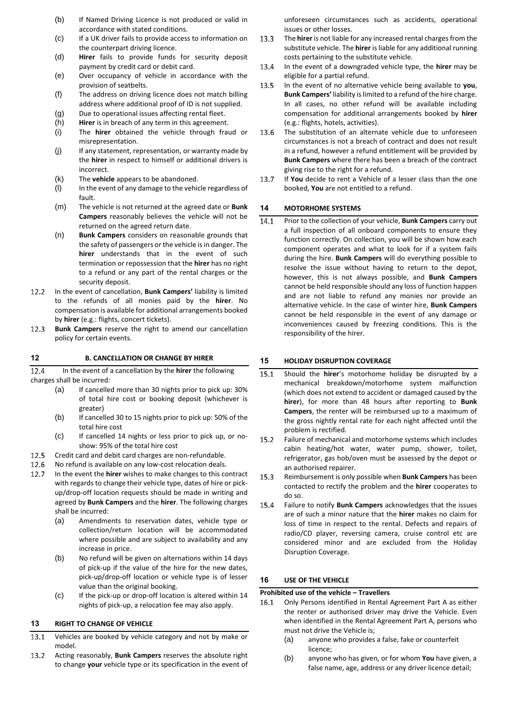- (b) If Named Driving Licence is not produced or valid in accordance with stated conditions.
- (c) If a UK driver fails to provide access to information on the counterpart driving licence.
- (d) **Hirer** fails to provide funds for security deposit payment by credit card or debit card.
- (e) Over occupancy of vehicle in accordance with the provision of seatbelts.
- (f) The address on driving licence does not match billing address where additional proof of ID is not supplied.
- (g) Due to operational issues affecting rental fleet.
- (h) **Hirer** is in breach of any term in this agreement.
- (i) The **hirer** obtained the vehicle through fraud or misrepresentation.
- (j) If any statement, representation, or warranty made by the **hirer** in respect to himself or additional drivers is incorrect.
- (k) The **vehicle** appears to be abandoned.
- (l) In the event of any damage to the vehicle regardless of fault.
- (m) The vehicle is not returned at the agreed date or **Bunk Campers** reasonably believes the vehicle will not be returned on the agreed return date.
- (n) **Bunk Campers** considers on reasonable grounds that the safety of passengers or the vehicle is in danger. The **hirer** understands that in the event of such termination or repossession that the **hirer** has no right to a refund or any part of the rental charges or the security deposit.
- 12.2 In the event of cancellation, **Bunk Campers'** liability is limited to the refunds of all monies paid by the **hirer**. No compensation is available for additional arrangements booked by **hirer** (e.g.: flights, concert tickets).
- $12.3$ **Bunk Campers** reserve the right to amend our cancellation policy for certain events.

#### **12 B. CANCELLATION OR CHANGE BY HIRER**

12.4 In the event of a cancellation by the **hirer** the following charges shall be incurred:

- (a) If cancelled more than 30 nights prior to pick up: 30% of total hire cost or booking deposit (whichever is greater)
- (b) If cancelled 30 to 15 nights prior to pick up: 50% of the total hire cost
- (c) If cancelled 14 nights or less prior to pick up, or noshow: 95% of the total hire cost
- $12.5$ Credit card and debit card charges are non-refundable.
- 12.6 No refund is available on any low-cost relocation deals.
- 12.7 In the event the **hirer** wishes to make changes to this contract with regards to change their vehicle type, dates of hire or pickup/drop-off location requests should be made in writing and agreed by **Bunk Campers** and the **hirer**. The following charges shall be incurred:
	- (a) Amendments to reservation dates, vehicle type or collection/return location will be accommodated where possible and are subject to availability and any increase in price.
	- (b) No refund will be given on alternations within 14 days of pick-up if the value of the hire for the new dates, pick-up/drop-off location or vehicle type is of lesser value than the original booking.
	- (c) If the pick-up or drop-off location is altered within 14 nights of pick-up, a relocation fee may also apply.

# **13 RIGHT TO CHANGE OF VEHICLE**

- 13.1 Vehicles are booked by vehicle category and not by make or model.
- 13.2 Acting reasonably, **Bunk Campers** reserves the absolute right to change **your** vehicle type or its specification in the event of

unforeseen circumstances such as accidents, operational issues or other losses.

- 13.3 The **hirer** is not liable for any increased rental charges from the substitute vehicle. The **hirer** is liable for any additional running costs pertaining to the substitute vehicle.
- 13.4 In the event of a downgraded vehicle type, the **hirer** may be eligible for a partial refund.
- 13.5 In the event of no alternative vehicle being available to **you**, **Bunk Campers'** liability islimited to a refund of the hire charge. In all cases, no other refund will be available including compensation for additional arrangements booked by **hirer** (e.g.: flights, hotels, activities).
- The substitution of an alternate vehicle due to unforeseen 13.6 circumstances is not a breach of contract and does not result in a refund, however a refund entitlement will be provided by **Bunk Campers** where there has been a breach of the contract giving rise to the right for a refund.
- 13.7 If **You** decide to rent a Vehicle of a lesser class than the one booked, **You** are not entitled to a refund.

# **14 MOTORHOME SYSTEMS**

14.1 Prior to the collection of your vehicle, **Bunk Campers** carry out a full inspection of all onboard components to ensure they function correctly. On collection, you will be shown how each component operates and what to look for if a system fails during the hire. **Bunk Campers** will do everything possible to resolve the issue without having to return to the depot, however, this is not always possible, and **Bunk Campers** cannot be held responsible should any loss of function happen and are not liable to refund any monies nor provide an alternative vehicle. In the case of winter hire, **Bunk Campers** cannot be held responsible in the event of any damage or inconveniences caused by freezing conditions. This is the responsibility of the hirer.

#### **15 HOLIDAY DISRUPTION COVERAGE**

- $15.1$ Should the **hirer**'s motorhome holiday be disrupted by a mechanical breakdown/motorhome system malfunction (which does not extend to accident or damaged caused by the **hirer**), for more than 48 hours after reporting to **Bunk Campers**, the renter will be reimbursed up to a maximum of the gross nightly rental rate for each night affected until the problem is rectified.
- 15.2 Failure of mechanical and motorhome systems which includes cabin heating/hot water, water pump, shower, toilet, refrigerator, gas hob/oven must be assessed by the depot or an authorised repairer.
- 15.3 Reimbursement is only possible when **Bunk Campers** has been contacted to rectify the problem and the **hirer** cooperates to do so.
- 15.4 Failure to notify **Bunk Campers** acknowledges that the issues are of such a minor nature that the **hirer** makes no claim for loss of time in respect to the rental. Defects and repairs of radio/CD player, reversing camera, cruise control etc are considered minor and are excluded from the Holiday Disruption Coverage.

#### **16 USE OF THE VEHICLE**

#### **Prohibited use of the vehicle – Travellers**

- Only Persons identified in Rental Agreement Part A as either 16.1 the renter or authorised driver may drive the Vehicle. Even when identified in the Rental Agreement Part A, persons who must not drive the Vehicle is;
	- (a) anyone who provides a false, fake or counterfeit licence;
	- (b) anyone who has given, or for whom **You** have given, a false name, age, address or any driver licence detail;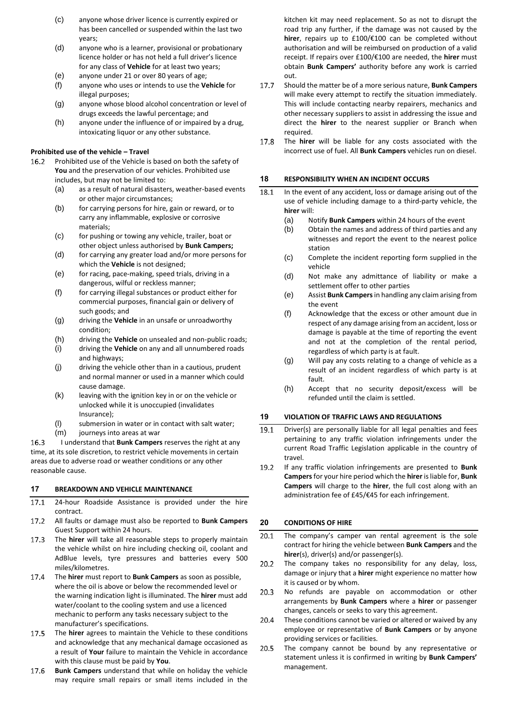- (c) anyone whose driver licence is currently expired or has been cancelled or suspended within the last two years;
- (d) anyone who is a learner, provisional or probationary licence holder or has not held a full driver's licence for any class of **Vehicle** for at least two years;
- (e) anyone under 21 or over 80 years of age;
- (f) anyone who uses or intends to use the **Vehicle** for illegal purposes;
- (g) anyone whose blood alcohol concentration or level of drugs exceeds the lawful percentage; and
- (h) anyone under the influence of or impaired by a drug, intoxicating liquor or any other substance.

# **Prohibited use of the vehicle – Travel**

- Prohibited use of the Vehicle is based on both the safety of  $16.2$ **You** and the preservation of our vehicles. Prohibited use includes, but may not be limited to:
	- (a) as a result of natural disasters, weather-based events or other major circumstances;
	- (b) for carrying persons for hire, gain or reward, or to carry any inflammable, explosive or corrosive materials;
	- (c) for pushing or towing any vehicle, trailer, boat or other object unless authorised by **Bunk Campers;**
	- (d) for carrying any greater load and/or more persons for which the **Vehicle** is not designed;
	- (e) for racing, pace-making, speed trials, driving in a dangerous, wilful or reckless manner;
	- (f) for carrying illegal substances or product either for commercial purposes, financial gain or delivery of such goods; and
	- (g) driving the **Vehicle** in an unsafe or unroadworthy condition;
	- (h) driving the **Vehicle** on unsealed and non-public roads;
	- (i) driving the **Vehicle** on any and all unnumbered roads and highways;
	- (j) driving the vehicle other than in a cautious, prudent and normal manner or used in a manner which could cause damage.
	- (k) leaving with the ignition key in or on the vehicle or unlocked while it is unoccupied (invalidates Insurance);
	- (l) submersion in water or in contact with salt water;<br>(m) journeys into areas at war journeys into areas at war

16.3 I understand that **Bunk Campers** reserves the right at any time, at its sole discretion, to restrict vehicle movements in certain areas due to adverse road or weather conditions or any other reasonable cause.

# **17 BREAKDOWN AND VEHICLE MAINTENANCE**

- $17.1$ 24-hour Roadside Assistance is provided under the hire contract.
- $17.2$ All faults or damage must also be reported to **Bunk Campers** Guest Support within 24 hours.
- $17.3$ The **hirer** will take all reasonable steps to properly maintain the vehicle whilst on hire including checking oil, coolant and AdBlue levels, tyre pressures and batteries every 500 miles/kilometres.
- $17.4$ The **hirer** must report to **Bunk Campers** as soon as possible, where the oil is above or below the recommended level or the warning indication light is illuminated. The **hirer** must add water/coolant to the cooling system and use a licenced mechanic to perform any tasks necessary subject to the manufacturer's specifications.
- 17.5 The **hirer** agrees to maintain the Vehicle to these conditions and acknowledge that any mechanical damage occasioned as a result of **Your** failure to maintain the Vehicle in accordance with this clause must be paid by **You**.
- 17.6 **Bunk Campers** understand that while on holiday the vehicle may require small repairs or small items included in the

kitchen kit may need replacement. So as not to disrupt the road trip any further, if the damage was not caused by the **hirer**, repairs up to £100/€100 can be completed without authorisation and will be reimbursed on production of a valid receipt. If repairs over £100/€100 are needed, the **hirer** must obtain **Bunk Campers'** authority before any work is carried out.

- 17.7 Should the matter be of a more serious nature, **Bunk Campers** will make every attempt to rectify the situation immediately. This will include contacting nearby repairers, mechanics and other necessary suppliers to assist in addressing the issue and direct the **hirer** to the nearest supplier or Branch when required.
- 17.8 The **hirer** will be liable for any costs associated with the incorrect use of fuel. All **Bunk Campers** vehicles run on diesel.

# **18 RESPONSIBILITY WHEN AN INCIDENT OCCURS**

- In the event of any accident, loss or damage arising out of the 18.1 use of vehicle including damage to a third-party vehicle, the **hirer** will:
	- (a) Notify **Bunk Campers** within 24 hours of the event
	- Obtain the names and address of third parties and any witnesses and report the event to the nearest police station
	- (c) Complete the incident reporting form supplied in the vehicle
	- (d) Not make any admittance of liability or make a settlement offer to other parties
	- (e) Assist **Bunk Campers**in handling any claim arising from the event
	- (f) Acknowledge that the excess or other amount due in respect of any damage arising from an accident, loss or damage is payable at the time of reporting the event and not at the completion of the rental period, regardless of which party is at fault.
	- (g) Will pay any costs relating to a change of vehicle as a result of an incident regardless of which party is at fault.
	- (h) Accept that no security deposit/excess will be refunded until the claim is settled.

# **19 VIOLATION OF TRAFFIC LAWS AND REGULATIONS**

- 19.1 Driver(s) are personally liable for all legal penalties and fees pertaining to any traffic violation infringements under the current Road Traffic Legislation applicable in the country of travel.
- If any traffic violation infringements are presented to **Bunk**  19.2 **Campers**for your hire period which the **hirer** is liable for, **Bunk Campers** will charge to the **hirer**, the full cost along with an administration fee of £45/€45 for each infringement.

# **20 CONDITIONS OF HIRE**

- 20.1 The company's camper van rental agreement is the sole contract for hiring the vehicle between **Bunk Campers** and the **hirer**(s), driver(s) and/or passenger(s).
- $20.2$ The company takes no responsibility for any delay, loss, damage or injury that a **hirer** might experience no matter how it is caused or by whom.
- $20.3$ No refunds are payable on accommodation or other arrangements by **Bunk Campers** where a **hirer** or passenger changes, cancels or seeks to vary this agreement.
- 20.4 These conditions cannot be varied or altered or waived by any employee or representative of **Bunk Campers** or by anyone providing services or facilities.
- 20.5 The company cannot be bound by any representative or statement unless it is confirmed in writing by **Bunk Campers'** management.